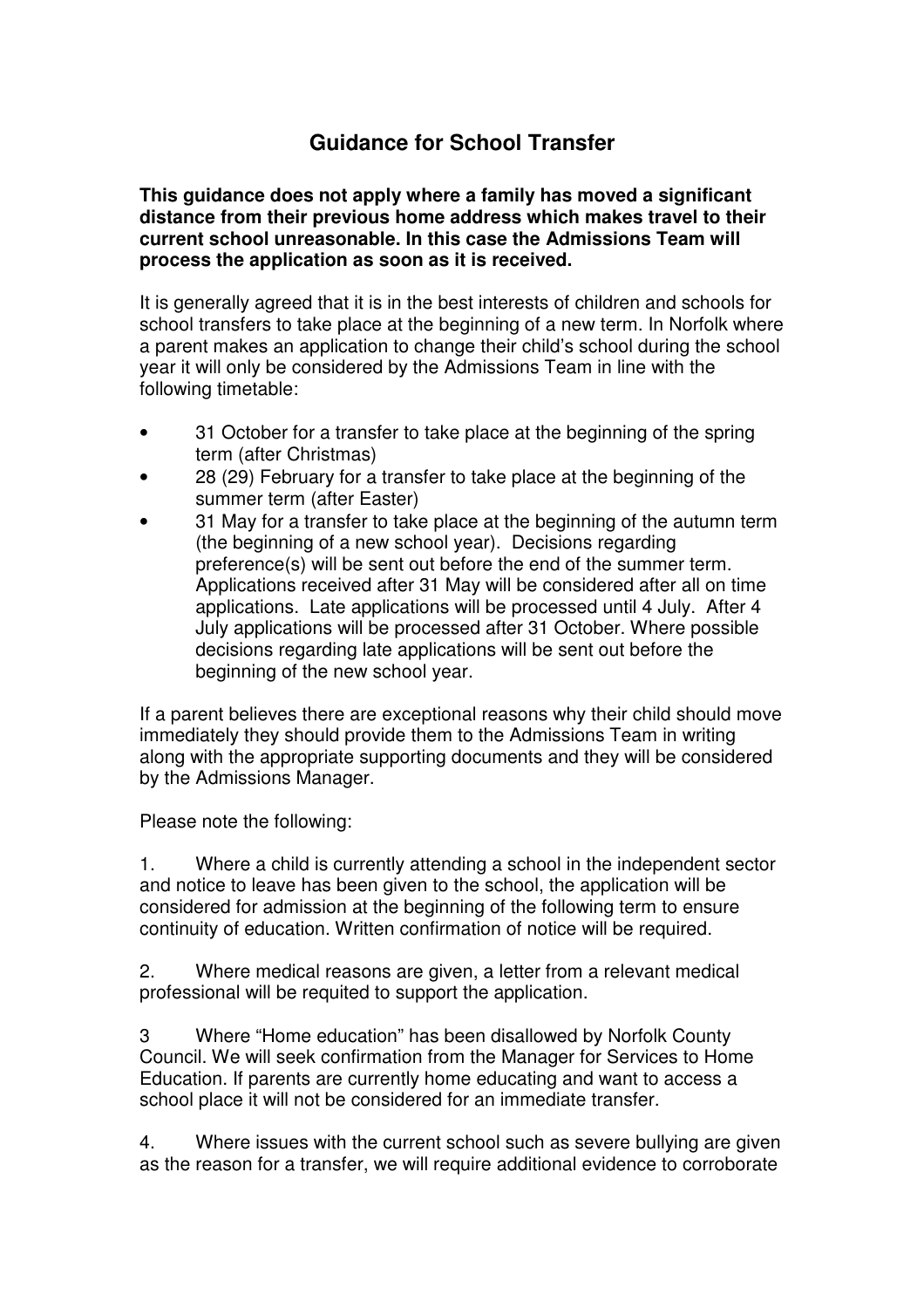## **Guidance for School Transfer**

**This guidance does not apply where a family has moved a significant distance from their previous home address which makes travel to their current school unreasonable. In this case the Admissions Team will process the application as soon as it is received.** 

It is generally agreed that it is in the best interests of children and schools for school transfers to take place at the beginning of a new term. In Norfolk where a parent makes an application to change their child's school during the school year it will only be considered by the Admissions Team in line with the following timetable:

- 31 October for a transfer to take place at the beginning of the spring term (after Christmas)
- 28 (29) February for a transfer to take place at the beginning of the summer term (after Easter)
- 31 May for a transfer to take place at the beginning of the autumn term (the beginning of a new school year). Decisions regarding preference(s) will be sent out before the end of the summer term. Applications received after 31 May will be considered after all on time applications. Late applications will be processed until 4 July. After 4 July applications will be processed after 31 October. Where possible decisions regarding late applications will be sent out before the beginning of the new school year.

If a parent believes there are exceptional reasons why their child should move immediately they should provide them to the Admissions Team in writing along with the appropriate supporting documents and they will be considered by the Admissions Manager.

Please note the following:

1. Where a child is currently attending a school in the independent sector and notice to leave has been given to the school, the application will be considered for admission at the beginning of the following term to ensure continuity of education. Written confirmation of notice will be required.

2. Where medical reasons are given, a letter from a relevant medical professional will be requited to support the application.

3 Where "Home education" has been disallowed by Norfolk County Council. We will seek confirmation from the Manager for Services to Home Education. If parents are currently home educating and want to access a school place it will not be considered for an immediate transfer.

4. Where issues with the current school such as severe bullying are given as the reason for a transfer, we will require additional evidence to corroborate